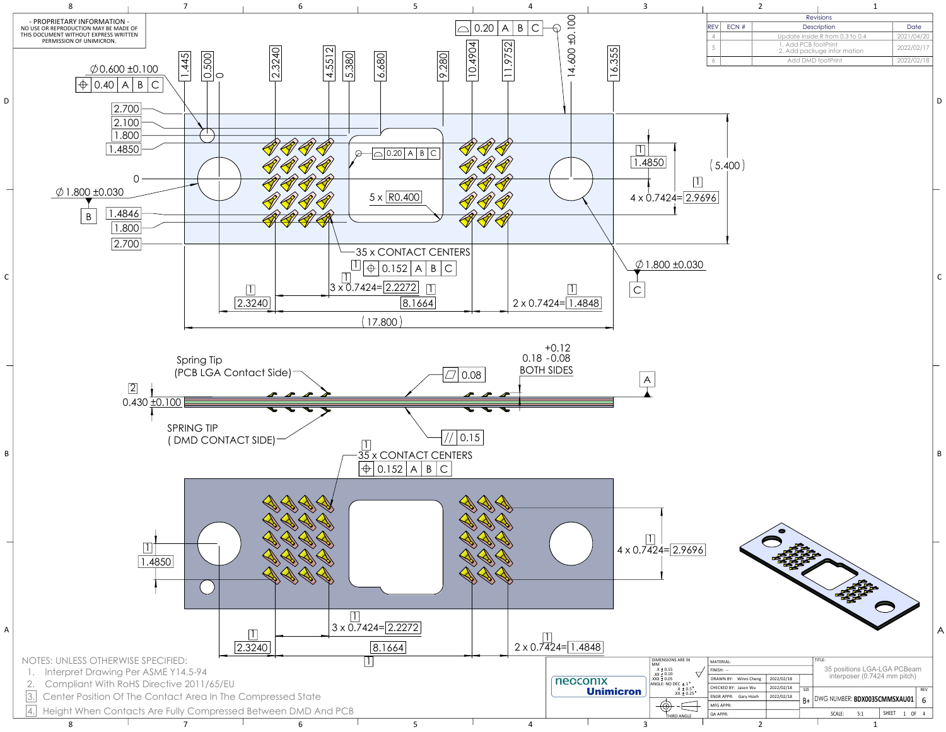

|   | MATERIAL:                      |            |             | TITLE:                              |   |  |  |
|---|--------------------------------|------------|-------------|-------------------------------------|---|--|--|
|   | $FINISH: -$                    |            |             | 35 positions LGA-LGA PCBeam         |   |  |  |
|   | DRAWN BY: Winni Cheng          | 2022/02/18 |             | interposer (0.7424 mm pitch)        |   |  |  |
| ۰ | CHECKED BY: Jason Wu           | 2022/02/18 | <b>SIZE</b> | <b>REV</b>                          |   |  |  |
|   | <b>ENGRAPPR:</b><br>Gary Hsieh | 2022/02/18 | B+          | DWG NUMBER: BDX0035CMMSXAU01        | 6 |  |  |
|   | MFG APPR:                      |            |             |                                     |   |  |  |
|   | <b>QA APPR:</b>                |            |             | <b>SHEET</b><br>5:1<br>0F<br>SCALE: |   |  |  |
|   |                                |            |             |                                     |   |  |  |

|      | Revisions |                      |                                 |            |  |  |  |  |  |  |
|------|-----------|----------------------|---------------------------------|------------|--|--|--|--|--|--|
| IREV | ECN#      |                      | Description                     | Date       |  |  |  |  |  |  |
| 4    |           |                      | Update inside R from 0.3 to 0.4 | 2021/04/20 |  |  |  |  |  |  |
|      |           | 1. Add PCB footPrint | 2. Add packuge infor mation     | 2022/02/17 |  |  |  |  |  |  |
|      |           | Add DMD footPrint    |                                 | 2022/02/18 |  |  |  |  |  |  |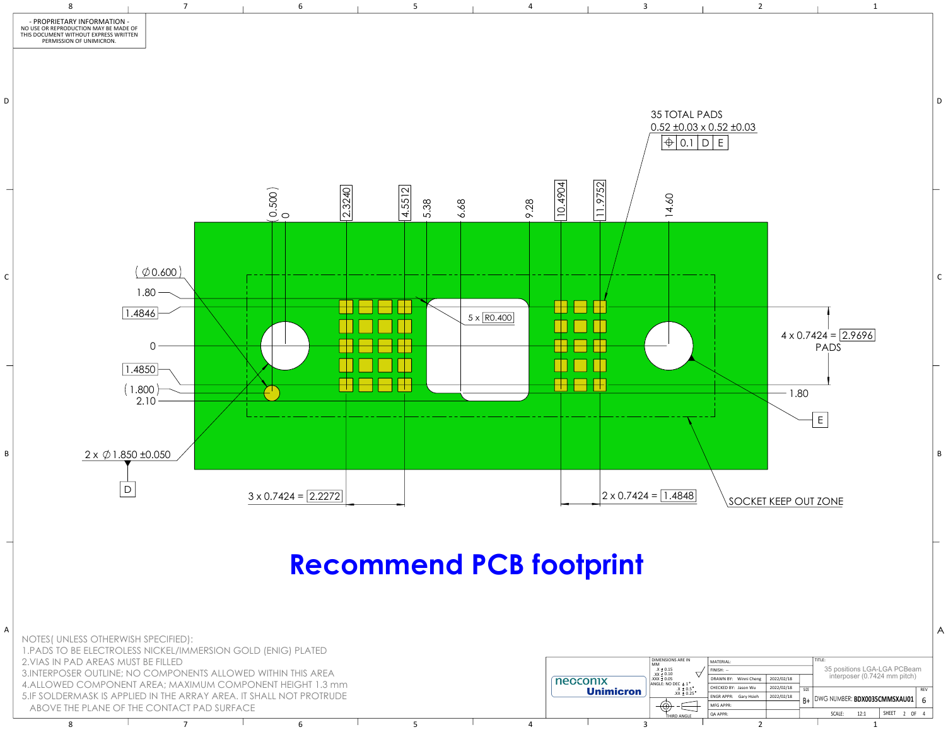

8 7 7 6 7 5 7 4 7 3 2 2 1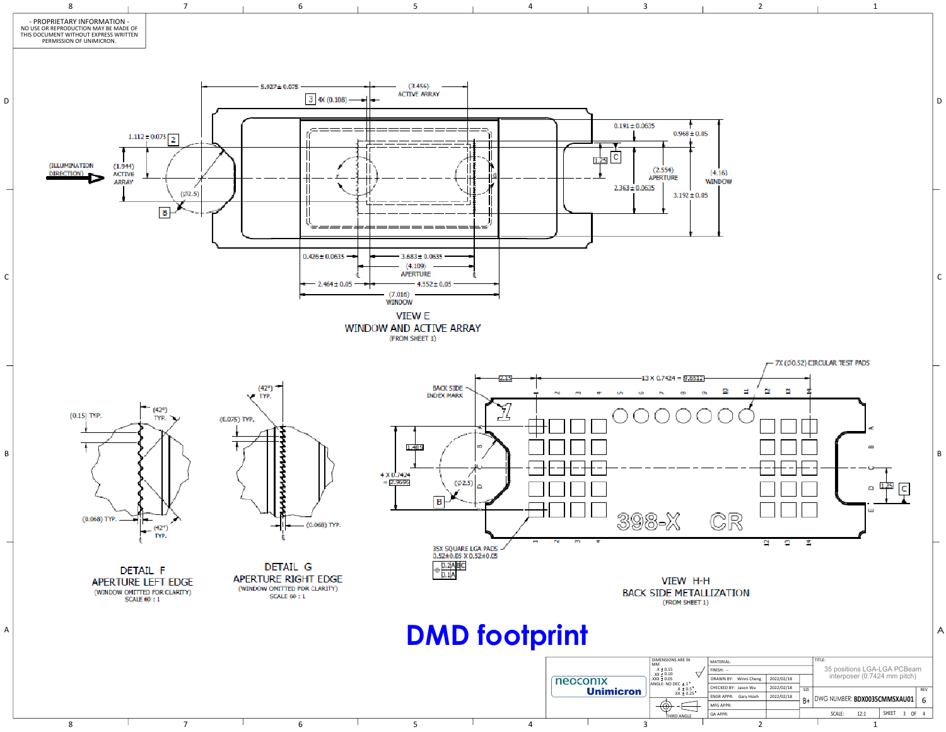

|                            | 2                                                                                                                                                                  |                                                |                  | 1                                                                                                                        |                                          |             |
|----------------------------|--------------------------------------------------------------------------------------------------------------------------------------------------------------------|------------------------------------------------|------------------|--------------------------------------------------------------------------------------------------------------------------|------------------------------------------|-------------|
| 0.05<br>0.05               | (4.16)<br>WINDOW                                                                                                                                                   |                                                |                  |                                                                                                                          |                                          | D           |
|                            |                                                                                                                                                                    | 7X (Ø0.52) CIRCULAR TEST PADS                  |                  |                                                                                                                          |                                          | $\mathsf C$ |
| 12<br>ç                    | 9<br>Ħ<br>CR<br>₫                                                                                                                                                  | a<br>n<br>Σ<br>≘                               |                  | ×.<br>m<br>$\circ$ 1.25<br>ш                                                                                             |                                          | B           |
| 1-H<br>ET 1)<br>$\ddagger$ | ALLIZATION<br>MATERIAL:<br>FINISH: --<br>DRAWN BY: Winni Cheng<br>CHECKED BY: Jason Wu<br><b>ENGR APPR:</b><br>Gary Hsieh<br>MFG APPR:<br>QA APPR:<br>$\mathbf{D}$ | 2022/02/18<br>2022/02/18<br>SIZE<br>2022/02/18 | TITLE:<br>SCALE: | 35 positions LGA-LGA PCBeam<br>interposer (0.7424 mm pitch)<br>B+   DWG NUMBER: BDX0035CMMSXAU01<br>12:1<br>$\mathbf{1}$ | REV<br>6<br>SHEET 3 OF<br>$\overline{4}$ | A           |